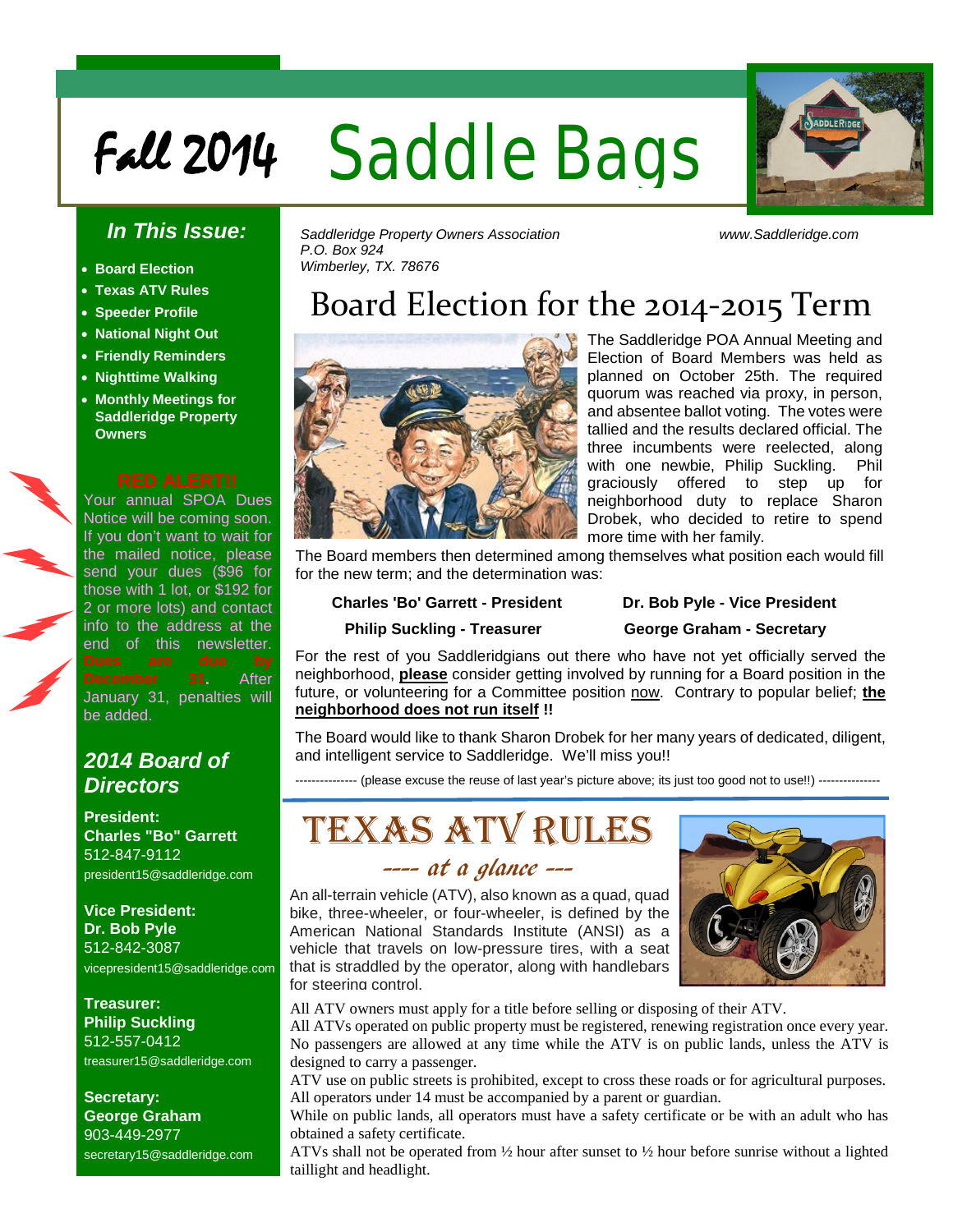# Fall 2014 Saddle Bags



## *In This Issue:*

- **Board Election**
- **Texas ATV Rules**
- **Speeder Profile**
- **National Night Out**
- **Friendly Reminders**
- **Nighttime Walking**
- **Monthly Meetings for Saddleridge Property Owners**

Your annual SPOA Dues Notice will be coming soon. If you don't want to wait for the mailed notice, please send your dues (\$96 for those with 1 lot, or \$192 for 2 or more lots) and contact info to the address at the end of this newsletter. **mber 31.** After January 31, penalties will be added.

## *2014 Board of Directors*

**President: Charles "Bo" Garrett**  512-847-9112 president15@saddleridge.com

**Vice President: Dr. Bob Pyle** 512-842-3087 vicepresident15@saddleridge.com

**Treasurer: Philip Suckling** 512-557-0412 treasurer15@saddleridge.com

**Secretary: George Graham** 903-449-2977 secretary15@saddleridge.com *Saddleridge Property Owners Association www.Saddleridge.com P.O. Box 924 Wimberley, TX. 78676*

## Board Election for the 2014-2015 Term

l



The Saddleridge POA Annual Meeting and Election of Board Members was held as planned on October 25th. The required quorum was reached via proxy, in person, and absentee ballot voting. The votes were tallied and the results declared official. The three incumbents were reelected, along with one newbie, Philip Suckling. Phil graciously offered to step up for neighborhood duty to replace Sharon Drobek, who decided to retire to spend more time with her family.

The Board members then determined among themselves what position each would fill for the new term; and the determination was:

### **Charles 'Bo' Garrett - President Dr. Bob Pyle - Vice President**

### **Philip Suckling - Treasurer George Graham - Secretary**

For the rest of you Saddleridgians out there who have not yet officially served the neighborhood, **please** consider getting involved by running for a Board position in the future, or volunteering for a Committee position now. Contrary to popular belief; the **neighborhood does not run itself !!**

The Board would like to thank Sharon Drobek for her many years of dedicated, diligent, and intelligent service to Saddleridge. We'll miss you!!

--------------- (please excuse the reuse of last year's picture above; its just too good not to use!!) ---------------

# Texas ATV Rules

## ---- at a glance ---

An all-terrain vehicle (ATV), also known as a quad, quad bike, three-wheeler, or four-wheeler, is defined by the American National Standards Institute (ANSI) as a vehicle that travels on low-pressure tires, with a seat that is straddled by the operator, along with handlebars for steering control.



All ATV owners must apply for a title before selling or disposing of their ATV.

All ATVs operated on public property must be registered, renewing registration once every year. No passengers are allowed at any time while the ATV is on public lands, unless the ATV is designed to carry a passenger.

ATV use on public streets is prohibited, except to cross these roads or for agricultural purposes. All operators under 14 must be accompanied by a parent or guardian.

While on public lands, all operators must have a safety certificate or be with an adult who has obtained a safety certificate.

ATVs shall not be operated from ½ hour after sunset to ½ hour before sunrise without a lighted taillight and headlight.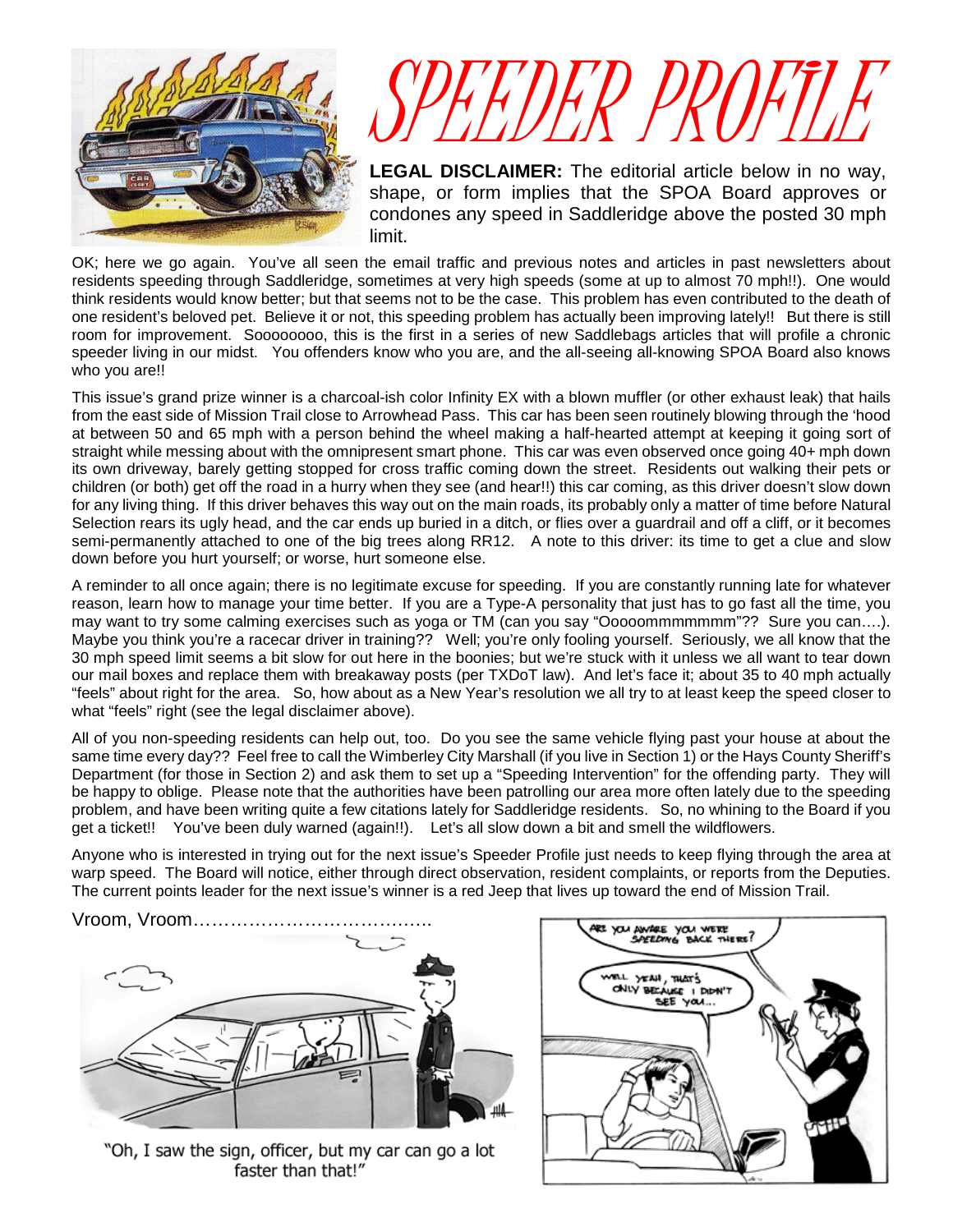

# SPEEDER PROFILE

**LEGAL DISCLAIMER:** The editorial article below in no way, shape, or form implies that the SPOA Board approves or condones any speed in Saddleridge above the posted 30 mph limit.

OK; here we go again. You've all seen the email traffic and previous notes and articles in past newsletters about residents speeding through Saddleridge, sometimes at very high speeds (some at up to almost 70 mph!!). One would think residents would know better; but that seems not to be the case. This problem has even contributed to the death of one resident's beloved pet. Believe it or not, this speeding problem has actually been improving lately!! But there is still room for improvement. Soooooooo, this is the first in a series of new Saddlebags articles that will profile a chronic speeder living in our midst. You offenders know who you are, and the all-seeing all-knowing SPOA Board also knows who you are!!

This issue's grand prize winner is a charcoal-ish color Infinity EX with a blown muffler (or other exhaust leak) that hails from the east side of Mission Trail close to Arrowhead Pass. This car has been seen routinely blowing through the 'hood at between 50 and 65 mph with a person behind the wheel making a half-hearted attempt at keeping it going sort of straight while messing about with the omnipresent smart phone. This car was even observed once going 40+ mph down its own driveway, barely getting stopped for cross traffic coming down the street. Residents out walking their pets or children (or both) get off the road in a hurry when they see (and hear!!) this car coming, as this driver doesn't slow down for any living thing. If this driver behaves this way out on the main roads, its probably only a matter of time before Natural Selection rears its ugly head, and the car ends up buried in a ditch, or flies over a guardrail and off a cliff, or it becomes semi-permanently attached to one of the big trees along RR12. A note to this driver: its time to get a clue and slow down before you hurt yourself; or worse, hurt someone else.

A reminder to all once again; there is no legitimate excuse for speeding. If you are constantly running late for whatever reason, learn how to manage your time better. If you are a Type-A personality that just has to go fast all the time, you may want to try some calming exercises such as yoga or TM (can you say "Ooooommmmmmm"?? Sure you can....). Maybe you think you're a racecar driver in training?? Well; you're only fooling yourself. Seriously, we all know that the 30 mph speed limit seems a bit slow for out here in the boonies; but we're stuck with it unless we all want to tear down our mail boxes and replace them with breakaway posts (per TXDoT law). And let's face it; about 35 to 40 mph actually "feels" about right for the area. So, how about as a New Year's resolution we all try to at least keep the speed closer to what "feels" right (see the legal disclaimer above).

All of you non-speeding residents can help out, too. Do you see the same vehicle flying past your house at about the same time every day?? Feel free to call the Wimberley City Marshall (if you live in Section 1) or the Hays County Sheriff's Department (for those in Section 2) and ask them to set up a "Speeding Intervention" for the offending party. They will be happy to oblige. Please note that the authorities have been patrolling our area more often lately due to the speeding problem, and have been writing quite a few citations lately for Saddleridge residents. So, no whining to the Board if you get a ticket!! You've been duly warned (again!!). Let's all slow down a bit and smell the wildflowers.

Anyone who is interested in trying out for the next issue's Speeder Profile just needs to keep flying through the area at warp speed. The Board will notice, either through direct observation, resident complaints, or reports from the Deputies. The current points leader for the next issue's winner is a red Jeep that lives up toward the end of Mission Trail.

Vroom, Vroom…………………………….…..



"Oh, I saw the sign, officer, but my car can go a lot faster than that!"

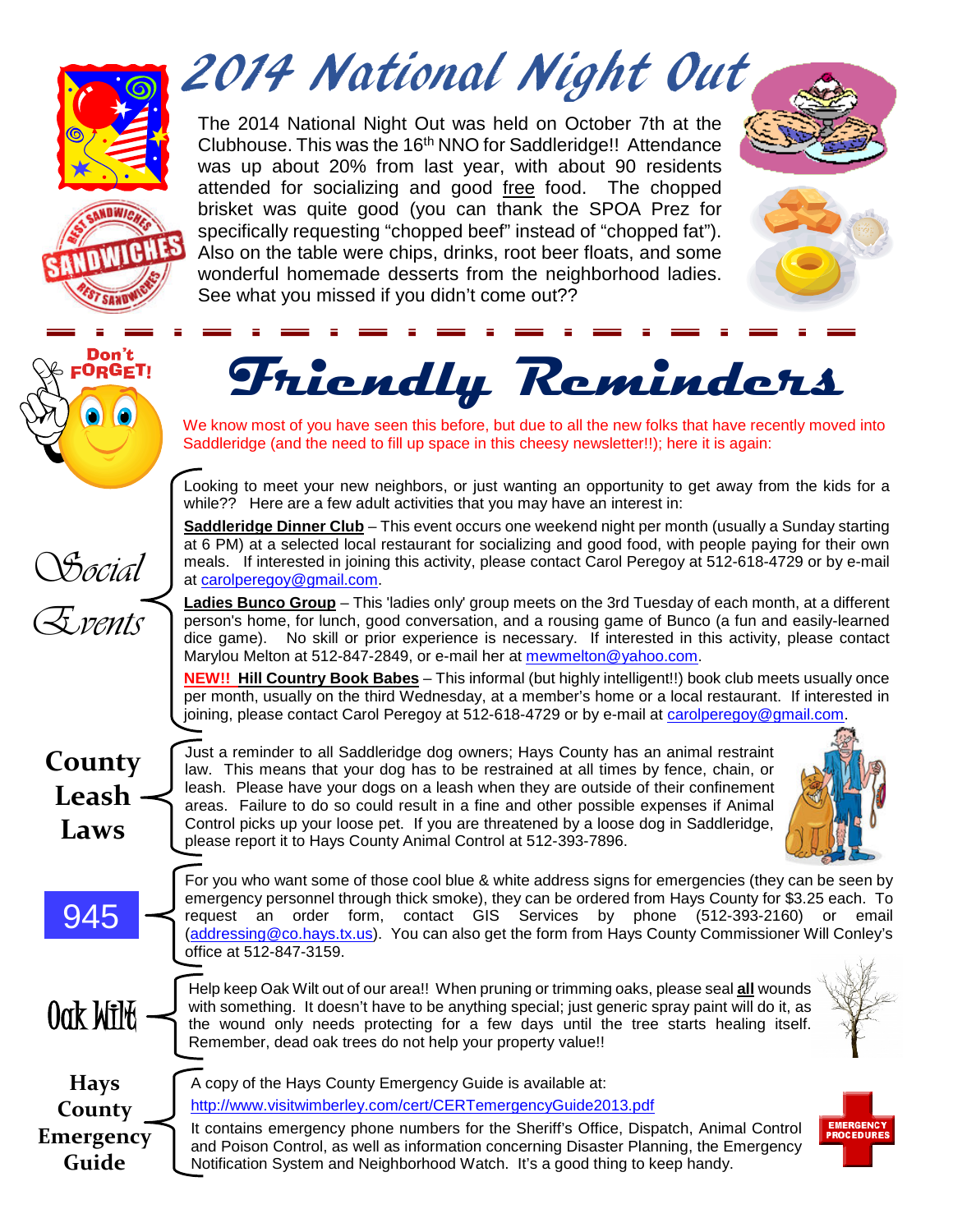

Don't ORGET!

2014 National Night Out

The 2014 National Night Out was held on October 7th at the Clubhouse. This was the 16<sup>th</sup> NNO for Saddleridge!! Attendance was up about 20% from last year, with about 90 residents attended for socializing and good free food. The chopped brisket was quite good (you can thank the SPOA Prez for specifically requesting "chopped beef" instead of "chopped fat"). Also on the table were chips, drinks, root beer floats, and some wonderful homemade desserts from the neighborhood ladies. See what you missed if you didn't come out??





# **Friendly Reminders**

We know most of you have seen this before, but due to all the new folks that have recently moved into Saddleridge (and the need to fill up space in this cheesy newsletter!!); here it is again:

Looking to meet your new neighbors, or just wanting an opportunity to get away from the kids for a while?? Here are a few adult activities that you may have an interest in:

**Saddleridge Dinner Club** – This event occurs one weekend night per month (usually a Sunday starting at 6 PM) at a selected local restaurant for socializing and good food, with people paying for their own meals. If interested in joining this activity, please contact Carol Peregoy at 512-618-4729 or by e-mail at [carolperegoy@gmail.com.](mailto:carolperegoy@gmail.com)

**Ladies Bunco Group** – This 'ladies only' group meets on the 3rd Tuesday of each month, at a different person's home, for lunch, good conversation, and a rousing game of Bunco (a fun and easily-learned dice game). No skill or prior experience is necessary. If interested in this activity, please contact Marylou Melton at 512-847-2849, or e-mail her at [mewmelton@yahoo.com.](mailto:mewmelton@yahoo.com)

**NEW!! Hill Country Book Babes** – This informal (but highly intelligent!!) book club meets usually once per month, usually on the third Wednesday, at a member's home or a local restaurant. If interested in joining, please contact Carol Peregoy at 512-618-4729 or by e-mail at [carolperegoy@gmail.com.](mailto:carolperegoy@gmail.com)

**County Leash Laws**

945

Social

Events

Just a reminder to all Saddleridge dog owners; Hays County has an animal restraint law. This means that your dog has to be restrained at all times by fence, chain, or leash. Please have your dogs on a leash when they are outside of their confinement areas. Failure to do so could result in a fine and other possible expenses if Animal Control picks up your loose pet. If you are threatened by a loose dog in Saddleridge, please report it to Hays County Animal Control at 512-393-7896.



For you who want some of those cool blue & white address signs for emergencies (they can be seen by emergency personnel through thick smoke), they can be ordered from Hays County for \$3.25 each. To request an order form, contact GIS Services by phone (512-393-2160) or email [\(addressing@co.hays.tx.us\)](mailto:addressing@co.hays.tx.us). You can also get the form from Hays County Commissioner Will Conley's office at 512-847-3159.

Help keep Oak Wilt out of our area!! When pruning or trimming oaks, please seal **all** wounds<br>with something. It doesn't have to be anything special; just generic spray paint will do it, as<br>the wound only needs protecting f

**Hays County Emergency Guide**

A copy of the Hays County Emergency Guide is available at: <http://www.visitwimberley.com/cert/CERTemergencyGuide2013.pdf>

Remember, dead oak trees do not help your property value!!

It contains emergency phone numbers for the Sheriff's Office, Dispatch, Animal Control and Poison Control, as well as information concerning Disaster Planning, the Emergency Notification System and Neighborhood Watch. It's a good thing to keep handy.

with something. It doesn't have to be anything special; just generic spray paint will do it, as the wound only needs protecting for a few days until the tree starts healing itself.